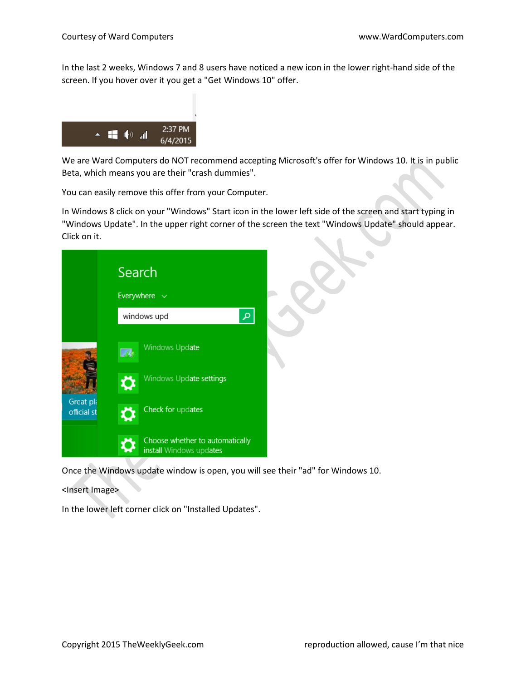In the last 2 weeks, Windows 7 and 8 users have noticed a new icon in the lower right-hand side of the screen. If you hover over it you get a "Get Windows 10" offer.



We are Ward Computers do NOT recommend accepting Microsoft's offer for Windows 10. It is in public Beta, which means you are their "crash dummies".

You can easily remove this offer from your Computer.

In Windows 8 click on your "Windows" Start icon in the lower left side of the screen and start typing in "Windows Update". In the upper right corner of the screen the text "Windows Update" should appear. Click on it.



Once the Windows update window is open, you will see their "ad" for Windows 10.

<Insert Image>

In the lower left corner click on "Installed Updates".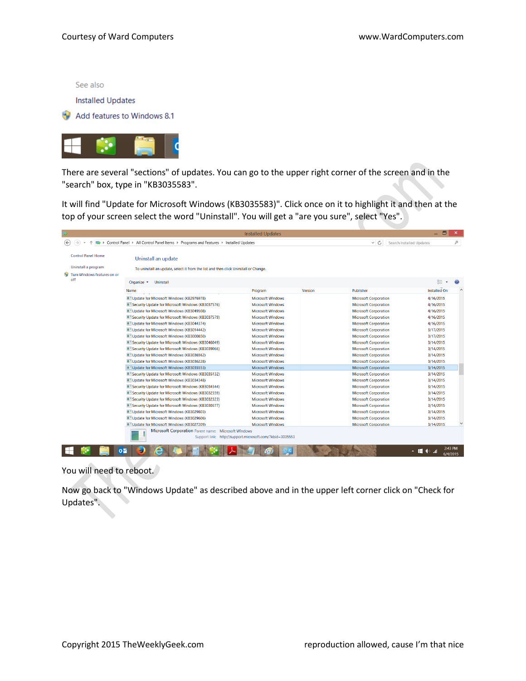See also

#### **Installed Updates**

Add features to Windows 8.1



There are several "sections" of updates. You can go to the upper right corner of the screen and in the "search" box, type in "KB3035583".

It will find "Update for Microsoft Windows (KB3035583)". Click once on it to highlight it and then at the top of your screen select the word "Uninstall". You will get a "are you sure", select "Yes".

| 39                                                                                                  |                                                                                     | <b>Installed Updates</b>                                 |         |                              | - 6                             |
|-----------------------------------------------------------------------------------------------------|-------------------------------------------------------------------------------------|----------------------------------------------------------|---------|------------------------------|---------------------------------|
| ⊛<br><b>E</b> > Control Panel > All Control Panel Items > Programs and Features > Installed Updates | ∨ C<br>Search Installed Updates                                                     | م                                                        |         |                              |                                 |
| <b>Control Panel Home</b>                                                                           | Uninstall an update                                                                 |                                                          |         |                              |                                 |
| Uninstall a program                                                                                 | To uninstall an update, select it from the list and then click Uninstall or Change. |                                                          |         |                              |                                 |
| Turn Windows features on or<br>off                                                                  | <b>Uninstall</b><br>Organize $\sim$                                                 |                                                          |         |                              | 8日 →                            |
|                                                                                                     | Name                                                                                | Program                                                  | Version | Publisher                    | <b>Installed On</b>             |
|                                                                                                     | Update for Microsoft Windows (KB2976978)                                            | <b>Microsoft Windows</b>                                 |         | <b>Microsoft Corporation</b> | 4/16/2015                       |
|                                                                                                     | Security Update for Microsoft Windows (KB3037576)                                   | <b>Microsoft Windows</b>                                 |         | <b>Microsoft Corporation</b> | 4/16/2015                       |
|                                                                                                     | Update for Microsoft Windows (KB3049508)                                            | <b>Microsoft Windows</b>                                 |         | <b>Microsoft Corporation</b> | 4/16/2015                       |
|                                                                                                     | Security Update for Microsoft Windows (KB3037579)                                   | <b>Microsoft Windows</b>                                 |         | <b>Microsoft Corporation</b> | 4/16/2015                       |
|                                                                                                     | Update for Microsoft Windows (KB3044374)                                            | <b>Microsoft Windows</b>                                 |         | <b>Microsoft Corporation</b> | 4/16/2015                       |
|                                                                                                     | Update for Microsoft Windows (KB3014442)                                            | <b>Microsoft Windows</b>                                 |         | <b>Microsoft Corporation</b> | 3/17/2015                       |
|                                                                                                     | Update for Microsoft Windows (KB3000850)                                            | <b>Microsoft Windows</b>                                 |         | <b>Microsoft Corporation</b> | 3/17/2015                       |
|                                                                                                     | Security Update for Microsoft Windows (KB3046049)                                   | <b>Microsoft Windows</b>                                 |         | <b>Microsoft Corporation</b> | 3/14/2015                       |
|                                                                                                     | Security Update for Microsoft Windows (KB3039066)                                   | <b>Microsoft Windows</b>                                 |         | <b>Microsoft Corporation</b> | 3/14/2015                       |
|                                                                                                     | Update for Microsoft Windows (KB3036562)                                            | <b>Microsoft Windows</b>                                 |         | <b>Microsoft Corporation</b> | 3/14/2015                       |
|                                                                                                     | Update for Microsoft Windows (KB3036228)                                            | <b>Microsoft Windows</b>                                 |         | <b>Microsoft Corporation</b> | 3/14/2015                       |
|                                                                                                     | Update for Microsoft Windows (KB3035553)                                            | <b>Microsoft Windows</b>                                 |         | <b>Microsoft Corporation</b> | 3/14/2015                       |
|                                                                                                     | Security Update for Microsoft Windows (KB3035132)                                   | <b>Microsoft Windows</b>                                 |         | <b>Microsoft Corporation</b> | 3/14/2015                       |
|                                                                                                     | Update for Microsoft Windows (KB3034348)                                            | <b>Microsoft Windows</b>                                 |         | <b>Microsoft Corporation</b> | 3/14/2015                       |
|                                                                                                     | Security Update for Microsoft Windows (KB3034344)                                   | <b>Microsoft Windows</b>                                 |         | <b>Microsoft Corporation</b> | 3/14/2015                       |
|                                                                                                     | Security Update for Microsoft Windows (KB3032359)                                   | <b>Microsoft Windows</b>                                 |         | <b>Microsoft Corporation</b> | 3/14/2015                       |
|                                                                                                     | Security Update for Microsoft Windows (KB3032323)                                   | <b>Microsoft Windows</b>                                 |         | <b>Microsoft Corporation</b> | 3/14/2015                       |
|                                                                                                     | Security Update for Microsoft Windows (KB3030377)                                   | <b>Microsoft Windows</b>                                 |         | <b>Microsoft Corporation</b> | 3/14/2015                       |
|                                                                                                     | Update for Microsoft Windows (KB3029803)                                            | <b>Microsoft Windows</b>                                 |         | <b>Microsoft Corporation</b> | 3/14/2015                       |
|                                                                                                     | Update for Microsoft Windows (KB3029606)                                            | <b>Microsoft Windows</b>                                 |         | <b>Microsoft Corporation</b> | 3/14/2015                       |
|                                                                                                     | Update for Microsoft Windows (KB3027209)                                            | <b>Microsoft Windows</b>                                 |         | <b>Microsoft Corporation</b> | 3/14/2015                       |
|                                                                                                     | Microsoft Corporation Parent name: Microsoft Windows                                | Support link: http://support.microsoft.com/?kbid=3035553 |         |                              |                                 |
|                                                                                                     | oМ                                                                                  |                                                          |         |                              | 2:43 PM<br>╸ӫ<br>ان<br>6/4/2015 |

You will need to reboot.

Now go back to "Windows Update" as described above and in the upper left corner click on "Check for Updates".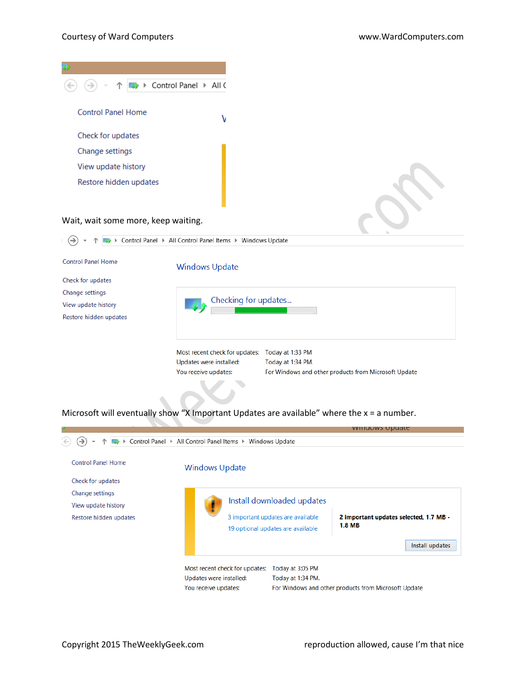| $\overline{\mathcal{L}}$            |
|-------------------------------------|
| Control Panel > All C<br>→          |
| <b>Control Panel Home</b><br>٧      |
| Check for updates                   |
| Change settings                     |
| View update history                 |
| Restore hidden updates              |
|                                     |
| Wait, wait some more, keep waiting. |

↑ 4 > Control Panel > All Control Panel Items > Windows Update  $\Theta$  +

| <b>Control Panel Home</b> | <b>Windows Update</b>          |                                                      |
|---------------------------|--------------------------------|------------------------------------------------------|
| Check for updates         |                                |                                                      |
| Change settings           |                                |                                                      |
| View update history       | Checking for updates           |                                                      |
| Restore hidden updates    |                                |                                                      |
|                           |                                |                                                      |
|                           |                                |                                                      |
|                           | Most recent check for updates: | Today at 1:33 PM                                     |
|                           | Updates were installed:        | Today at 1:34 PM.                                    |
|                           | You receive updates:           | For Windows and other products from Microsoft Update |
|                           |                                |                                                      |

Microsoft will eventually show "X Important Updates are available" where the x = a number.

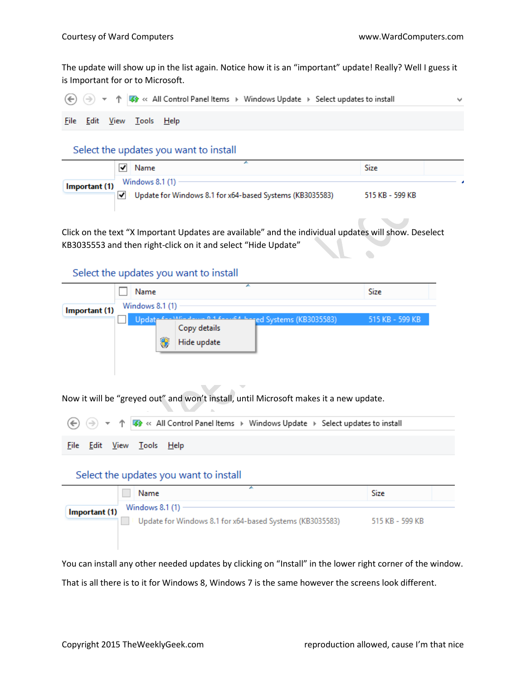The update will show up in the list again. Notice how it is an "important" update! Really? Well I guess it is Important for or to Microsoft.

|  |                           | → ↑ T < All Control Panel Items > Windows Update > Select updates to install |  |
|--|---------------------------|------------------------------------------------------------------------------|--|
|  | File Edit View Tools Help |                                                                              |  |

#### Select the updates you want to install

|               | Name                                                                          | Size            |
|---------------|-------------------------------------------------------------------------------|-----------------|
| Important (1) | Windows 8.1 (1) -<br>Update for Windows 8.1 for x64-based Systems (KB3035583) | 515 KB - 599 KB |

Click on the text "X Important Updates are available" and the individual updates will show. Deselect KB3035553 and then right-click on it and select "Hide Update"  $\bullet$ 

# Select the updates you want to install

|               | Name            |   |                                                                                            |  | Size            |  |
|---------------|-----------------|---|--------------------------------------------------------------------------------------------|--|-----------------|--|
| Important (1) | Windows 8.1 (1) |   |                                                                                            |  |                 |  |
|               | Updat           | Θ | 1 factor hanged Systems (KB3035583)<br>$M_{\rm tot}$ decays<br>Copy details<br>Hide update |  | 515 KB - 599 KB |  |

Now it will be "greyed out" and won't install, until Microsoft makes it a new update.

 $\sim$   $\sim$ 

|  |                           | → T <> All Control Panel Items > Windows Update > Select updates to install |
|--|---------------------------|-----------------------------------------------------------------------------|
|  | File Edit View Tools Help |                                                                             |

# Select the updates you want to install

 $\Delta$ 

|               | <b>Name</b>                                                                   | Size            |
|---------------|-------------------------------------------------------------------------------|-----------------|
| Important (1) | Windows 8.1 (1) -<br>Update for Windows 8.1 for x64-based Systems (KB3035583) | 515 KB - 599 KB |

You can install any other needed updates by clicking on "Install" in the lower right corner of the window. That is all there is to it for Windows 8, Windows 7 is the same however the screens look different.